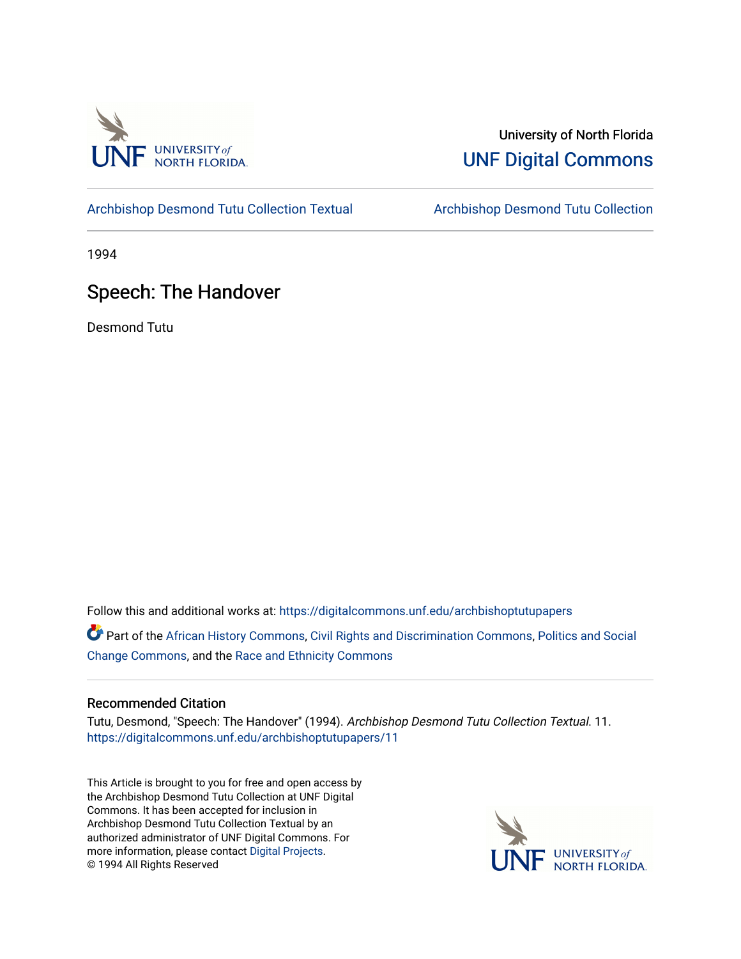

## University of North Florida [UNF Digital Commons](https://digitalcommons.unf.edu/)

[Archbishop Desmond Tutu Collection Textual](https://digitalcommons.unf.edu/archbishoptutupapers) [Archbishop Desmond Tutu Collection](https://digitalcommons.unf.edu/archbishoptutu) 

1994

## Speech: The Handover

Desmond Tutu

Follow this and additional works at: [https://digitalcommons.unf.edu/archbishoptutupapers](https://digitalcommons.unf.edu/archbishoptutupapers?utm_source=digitalcommons.unf.edu%2Farchbishoptutupapers%2F11&utm_medium=PDF&utm_campaign=PDFCoverPages)

Part of the [African History Commons](http://network.bepress.com/hgg/discipline/490?utm_source=digitalcommons.unf.edu%2Farchbishoptutupapers%2F11&utm_medium=PDF&utm_campaign=PDFCoverPages), [Civil Rights and Discrimination Commons](http://network.bepress.com/hgg/discipline/585?utm_source=digitalcommons.unf.edu%2Farchbishoptutupapers%2F11&utm_medium=PDF&utm_campaign=PDFCoverPages), [Politics and Social](http://network.bepress.com/hgg/discipline/425?utm_source=digitalcommons.unf.edu%2Farchbishoptutupapers%2F11&utm_medium=PDF&utm_campaign=PDFCoverPages) [Change Commons](http://network.bepress.com/hgg/discipline/425?utm_source=digitalcommons.unf.edu%2Farchbishoptutupapers%2F11&utm_medium=PDF&utm_campaign=PDFCoverPages), and the [Race and Ethnicity Commons](http://network.bepress.com/hgg/discipline/426?utm_source=digitalcommons.unf.edu%2Farchbishoptutupapers%2F11&utm_medium=PDF&utm_campaign=PDFCoverPages) 

## Recommended Citation

Tutu, Desmond, "Speech: The Handover" (1994). Archbishop Desmond Tutu Collection Textual. 11. [https://digitalcommons.unf.edu/archbishoptutupapers/11](https://digitalcommons.unf.edu/archbishoptutupapers/11?utm_source=digitalcommons.unf.edu%2Farchbishoptutupapers%2F11&utm_medium=PDF&utm_campaign=PDFCoverPages) 

This Article is brought to you for free and open access by the Archbishop Desmond Tutu Collection at UNF Digital Commons. It has been accepted for inclusion in Archbishop Desmond Tutu Collection Textual by an authorized administrator of UNF Digital Commons. For more information, please contact [Digital Projects](mailto:lib-digital@unf.edu). © 1994 All Rights Reserved

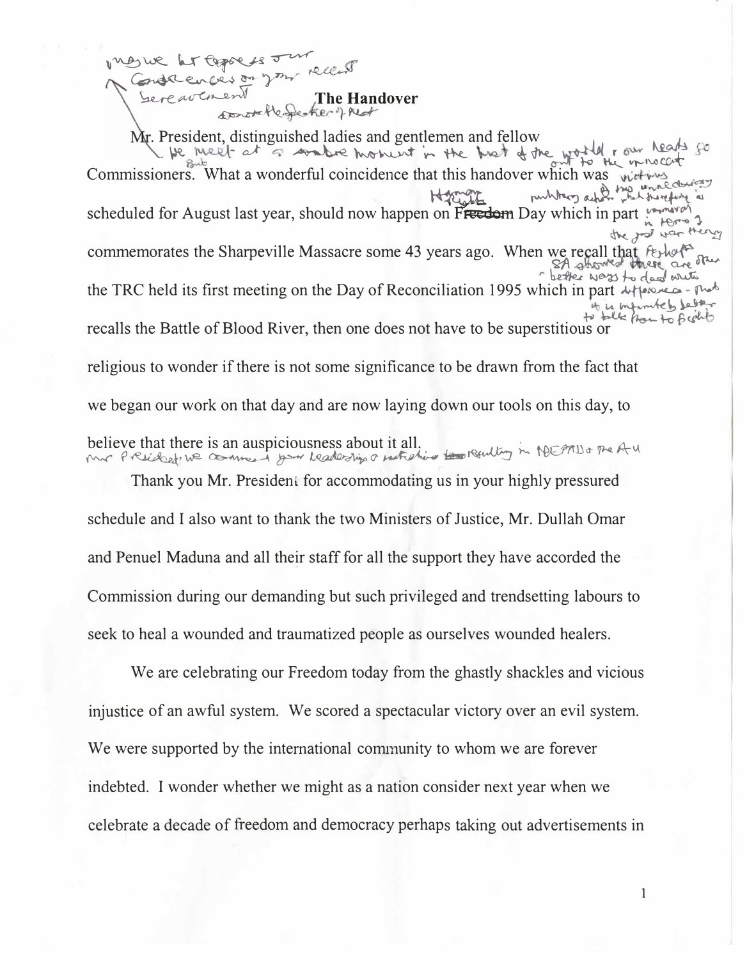LT Coppe 18 J acuces on your recent Sereavenir The Handover

Mr. President, distinguished ladies and gentlemen and fellow be meet at a combre moment in the broot of the world row heads go Commissioners. What a wonderful coincidence that this handover which was welly publicing asked the unnecles scheduled for August last year, should now happen on Freedom Day which in part  $Hence 1$ the god was they commemorates the Sharpeville Massacre some 43 years ago. When we recall that reported there are the there the TRC held its first meeting on the Day of Reconciliation 1995 which in part + the case - probto is infuncteby letter to talk from to fight recalls the Battle of Blood River, then one does not have to be superstitious or religious to wonder if there is not some significance to be drawn from the fact that we began our work on that day and are now laying down our tools on this day, to believe that there is an auspiciousness about it all. Mr President ne comment pour headersings notation in revolting in MEPTIDO The AU

Thank you Mr. President for accommodating us in your highly pressured schedule and I also want to thank the two Ministers of Justice, Mr. Dullah Omar and Penuel Maduna and all their staff for all the support they have accorded the Commission during our demanding but such privileged and trendsetting labours to seek to heal a wounded and traumatized people as ourselves wounded healers.

We are celebrating our Freedom today from the ghastly shackles and vicious injustice of an awful system. We scored a spectacular victory over an evil system. We were supported by the international community to whom we are forever indebted. I wonder whether we might as a nation consider next year when we celebrate a decade of freedom and democracy perhaps taking out advertisements in

 $\mathbf{1}$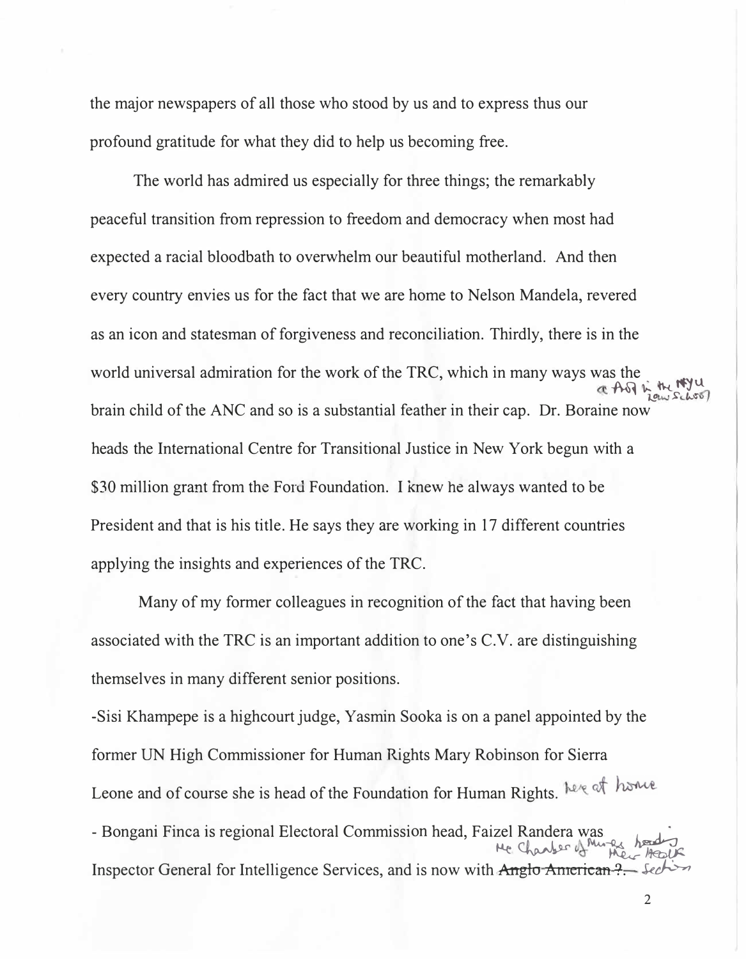**the major newspapers of all those who stood by us and to express thus our profound gratitude for what they did to help us becoming free.** 

**The world has admired us especially for three things; the remarkably peaceful transition from repression to freedom and democracy when most had expected a racial bloodbath to overwhelm our beautiful motherland. And then every country envies us for the fact that we are home to Nelson Mandela, revered as an icon and statesman of forgiveness and reconciliation. Thirdly, there is in the world universal admiration for the work of the TRC, which in many ways was the**  ( AG & W H NYU) **brain child of the ANC and so is a substantial feather in their cap. Dr. Boraine now heads the International Centre for Transitional Justice in New York begun with a**  \$30 million grant from the Ford Foundation. I knew he always wanted to be **President and that is his title. He says they are working in 17 different countries applying the insights and experiences of the TRC.** 

**Many of my former colleagues in recognition of the fact that having been associated with the TRC is an important addition to one's C.V. are distinguishing**  themselves in many different senior positions.

**-Sisi Khampepe is a highcourt judge, Yasmin Sooka is on a panel appointed by the former UN High Commissioner for Human Rights Mary Robinson for Sierra Leone and of course she is head of the Foundation for Human Rights. -** Bongani Finca is regional Electoral Commission head, Faizel Randera was <br> **A**<br> **Rander** of Means and the Result **Inspector General for Intelligence Services, and is now with Anglo American**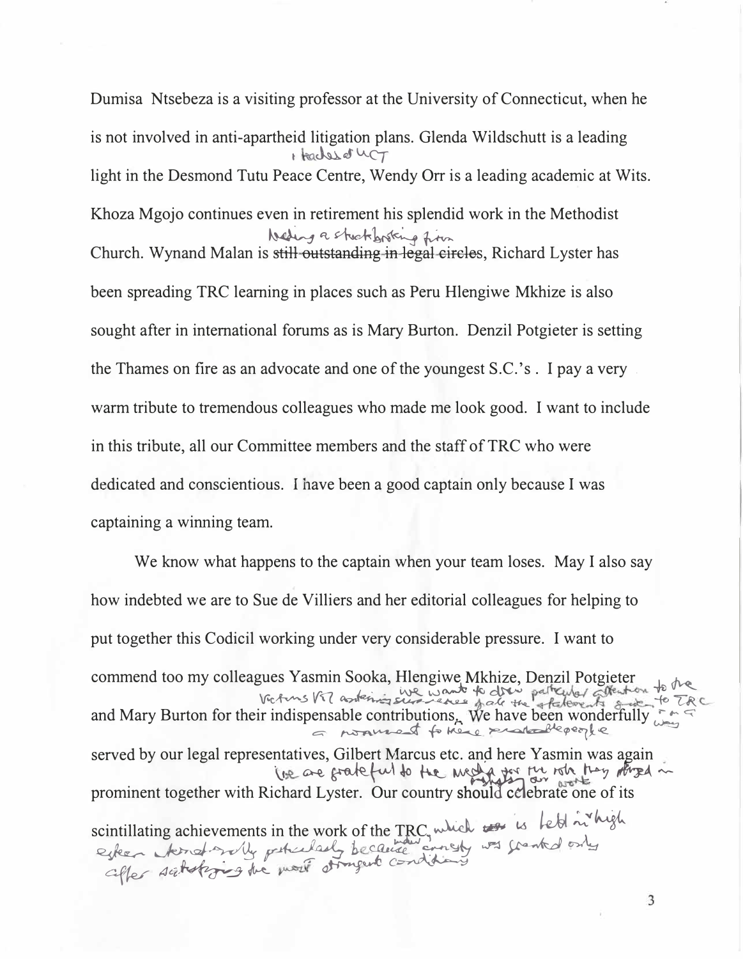Dumisa Ntsebeza is a visiting professor at the University of Connecticut, when he is not involved in anti-apartheid litigation plans. Glenda Wildschutt is a leading 1 teaches of LCT light in the Desmond Tutu Peace Centre, Wendy Orr is a leading academic at Wits. Khoza Mgojo continues even in retirement his splendid work in the Methodist **We And A sturtup of the function**<br>Church. Wynand Malan is stil<del>l outstanding in legal circles</del>, Richard Lyster has been spreading TRC learning in places such as Peru Hlengiwe Mkhize is also sought after in international forums as is Mary Burton. Denzil Potgieter is setting the Thames on fire as an advocate and one of the youngest S.C. 's . I pay a very . warm tribute to tremendous colleagues who made me look good. I want to include in this tribute, all our Committee members and the staff of TRC who were dedicated and conscientious. I have been a good captain only because I was captaining a winning team.

We know what happens to the captain when your team loses. May I also say how indebted we are to Sue de Villiers and her editorial colleagues for helping to put together this Codicil working under very considerable pressure. I want to commend too my colleagues Yasmin Sooka, Hlengiwe Mkhize, Denzil Potgieter by the Vectors Vil asstering superior to dry patrupy afternoon to  $\sim$ and Mary Burton for their indispensable contributions<sub>r.</sub> We have been wonderfully  $\mathbb{Z}^*$ �· �� � � �q>�� "< served by our legal representatives, Gilbert Marcus etc. and here Yasmin was again · lee are grateful to the mediator for which hay thread in prominent together with Richard Lyster. Our country should celebrate one of its scintillating achievements in the work of the TRC, which  $\epsilon$  is lett in high esteen kind with peticularly because any was southed only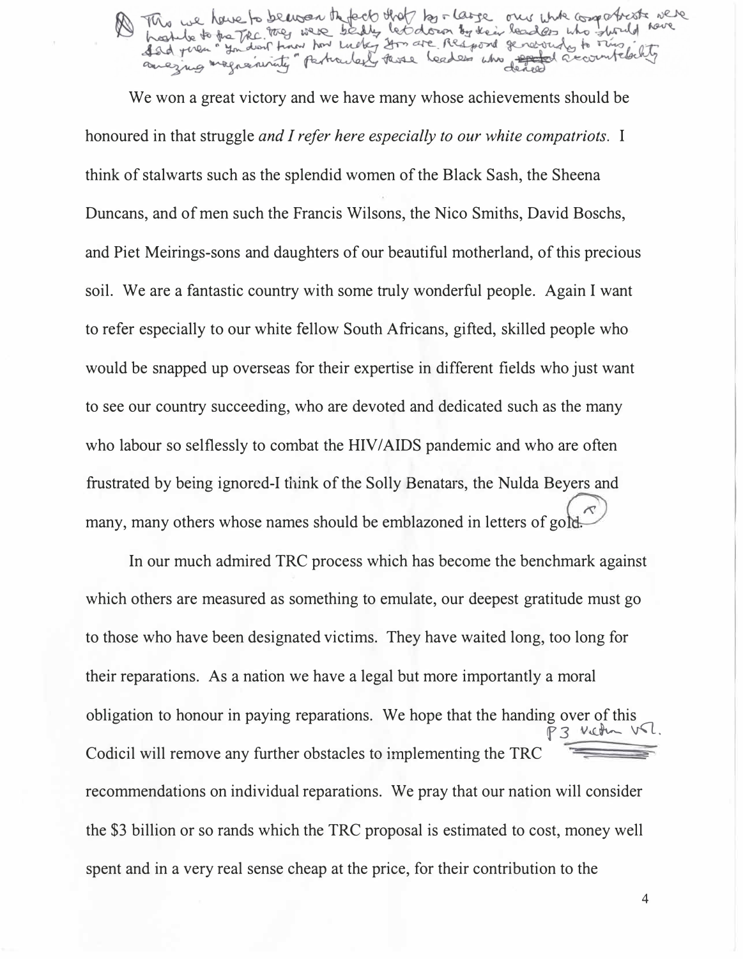M This we have to be was the fect that the reare one who compatible were

We won a great victory and we have many whose achievements should be honoured in that struggle *and I refer here especially to our white compatriots.* I think of stalwarts such as the splendid women of the Black Sash, the Sheena Duncans, and of men such the Francis Wilsons, the Nico Smiths, David Boschs, and Piet Meirings-sons and daughters of our beautiful motherland, of this precious soil. We are a fantastic country with some truly wonderful people. Again I want to refer especially to our white fellow South Africans, gifted, skilled people who would be snapped up overseas for their expertise in different fields who just want to see our country succeeding, who are devoted and dedicated such as the many who labour so selflessly to combat the HIV/AIDS pandemic and who are often frustrated by being ignored-I think of the Solly Benatars, the Nulda Beyers and  $\tilde{\mathcal{N}}$ many, many others whose names should be emblazoned in letters of gold.

In our much admired TRC process which has become the benchmark against which others are measured as something to emulate, our deepest gratitude must go to those who have been designated victims. They have waited long, too long for their reparations. As a nation we have a legal but more importantly a moral obligation to honour in paying reparations. We hope that the handing over of this P3 Vietn V.L. Codicil will remove any further obstacles to implementing the TRC recommendations on individual reparations. We pray that our nation will consider the \$3 billion or so rands which the TRC proposal is estimated to cost, money well spent and in a very real sense cheap at the price, for their contribution to the